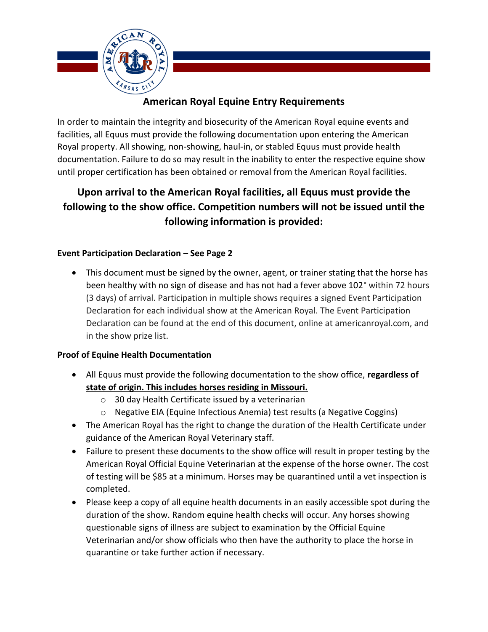

## **American Royal Equine Entry Requirements**

In order to maintain the integrity and biosecurity of the American Royal equine events and facilities, all Equus must provide the following documentation upon entering the American Royal property. All showing, non-showing, haul-in, or stabled Equus must provide health documentation. Failure to do so may result in the inability to enter the respective equine show until proper certification has been obtained or removal from the American Royal facilities.

# **Upon arrival to the American Royal facilities, all Equus must provide the following to the show office. Competition numbers will not be issued until the following information is provided:**

#### **Event Participation Declaration – See Page 2**

• This document must be signed by the owner, agent, or trainer stating that the horse has been healthy with no sign of disease and has not had a fever above 102° within 72 hours (3 days) of arrival. Participation in multiple shows requires a signed Event Participation Declaration for each individual show at the American Royal. The Event Participation Declaration can be found at the end of this document, online at americanroyal.com, and in the show prize list.

#### **Proof of Equine Health Documentation**

- All Equus must provide the following documentation to the show office, **regardless of state of origin. This includes horses residing in Missouri.**
	- o 30 day Health Certificate issued by a veterinarian
	- o Negative EIA (Equine Infectious Anemia) test results (a Negative Coggins)
- The American Royal has the right to change the duration of the Health Certificate under guidance of the American Royal Veterinary staff.
- Failure to present these documents to the show office will result in proper testing by the American Royal Official Equine Veterinarian at the expense of the horse owner. The cost of testing will be \$85 at a minimum. Horses may be quarantined until a vet inspection is completed.
- Please keep a copy of all equine health documents in an easily accessible spot during the duration of the show. Random equine health checks will occur. Any horses showing questionable signs of illness are subject to examination by the Official Equine Veterinarian and/or show officials who then have the authority to place the horse in quarantine or take further action if necessary.